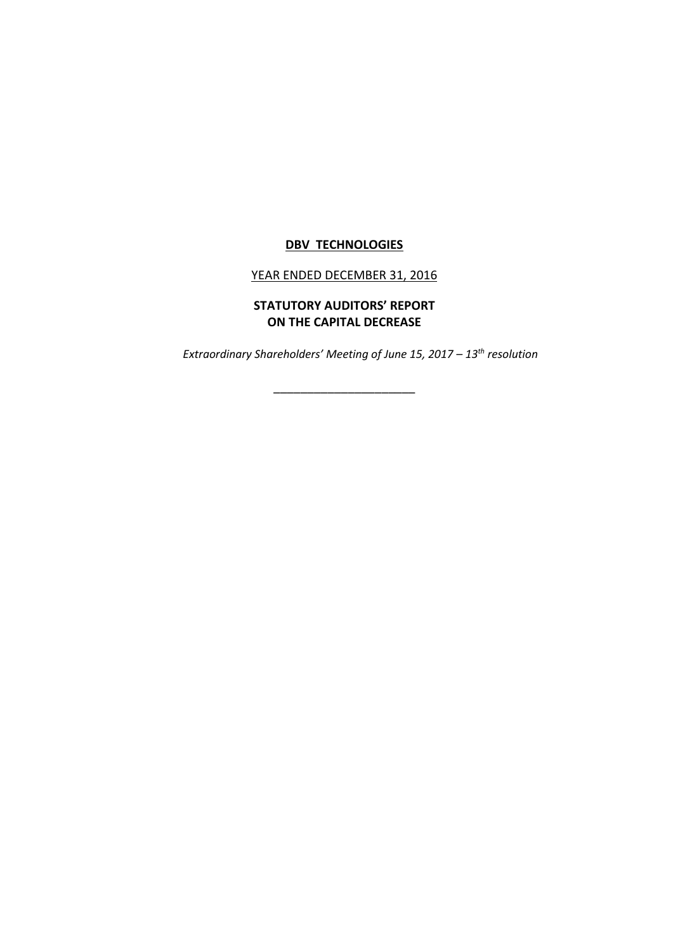## **DBV TECHNOLOGIES**

## YEAR ENDED DECEMBER 31, 2016

## **STATUTORY AUDITORS' REPORT ON THE CAPITAL DECREASE**

\_\_\_\_\_\_\_\_\_\_\_\_\_\_\_\_\_\_\_\_\_

*Extraordinary Shareholders' Meeting of June 15, 2017 – 13th resolution*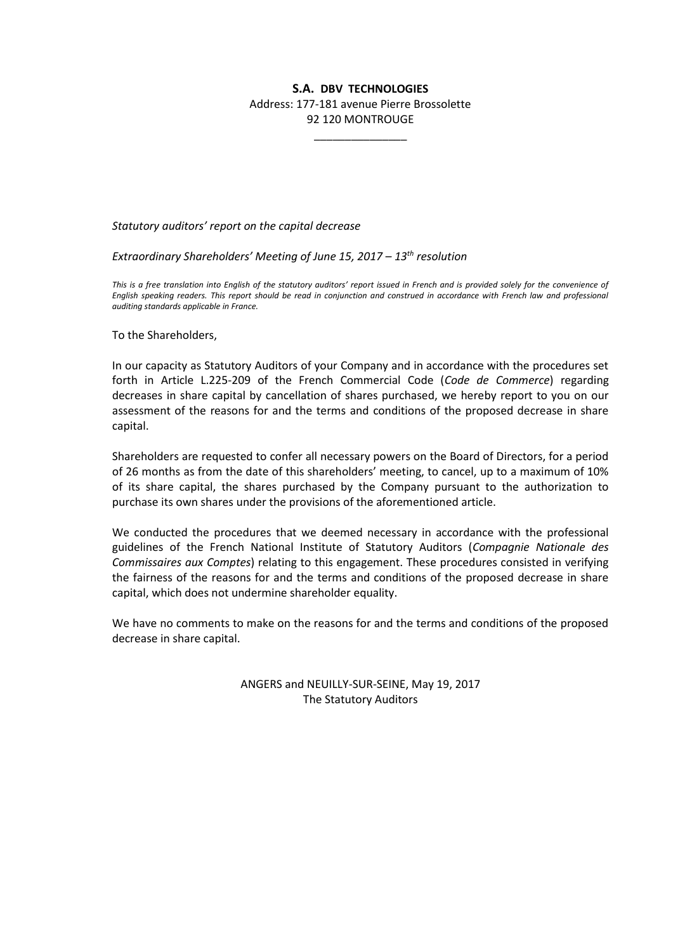## **S.A. DBV TECHNOLOGIES**

Address: 177-181 avenue Pierre Brossolette 92 120 MONTROUGE

\_\_\_\_\_\_\_\_\_\_\_\_\_\_\_

*Statutory auditors' report on the capital decrease*

*Extraordinary Shareholders' Meeting of June 15, 2017 – 13th resolution*

*This is a free translation into English of the statutory auditors' report issued in French and is provided solely for the convenience of English speaking readers. This report should be read in conjunction and construed in accordance with French law and professional auditing standards applicable in France.*

To the Shareholders,

In our capacity as Statutory Auditors of your Company and in accordance with the procedures set forth in Article L.225-209 of the French Commercial Code (*Code de Commerce*) regarding decreases in share capital by cancellation of shares purchased, we hereby report to you on our assessment of the reasons for and the terms and conditions of the proposed decrease in share capital.

Shareholders are requested to confer all necessary powers on the Board of Directors, for a period of 26 months as from the date of this shareholders' meeting, to cancel, up to a maximum of 10% of its share capital, the shares purchased by the Company pursuant to the authorization to purchase its own shares under the provisions of the aforementioned article.

We conducted the procedures that we deemed necessary in accordance with the professional guidelines of the French National Institute of Statutory Auditors (*Compagnie Nationale des Commissaires aux Comptes*) relating to this engagement. These procedures consisted in verifying the fairness of the reasons for and the terms and conditions of the proposed decrease in share capital, which does not undermine shareholder equality.

We have no comments to make on the reasons for and the terms and conditions of the proposed decrease in share capital.

> ANGERS and NEUILLY-SUR-SEINE, May 19, 2017 The Statutory Auditors